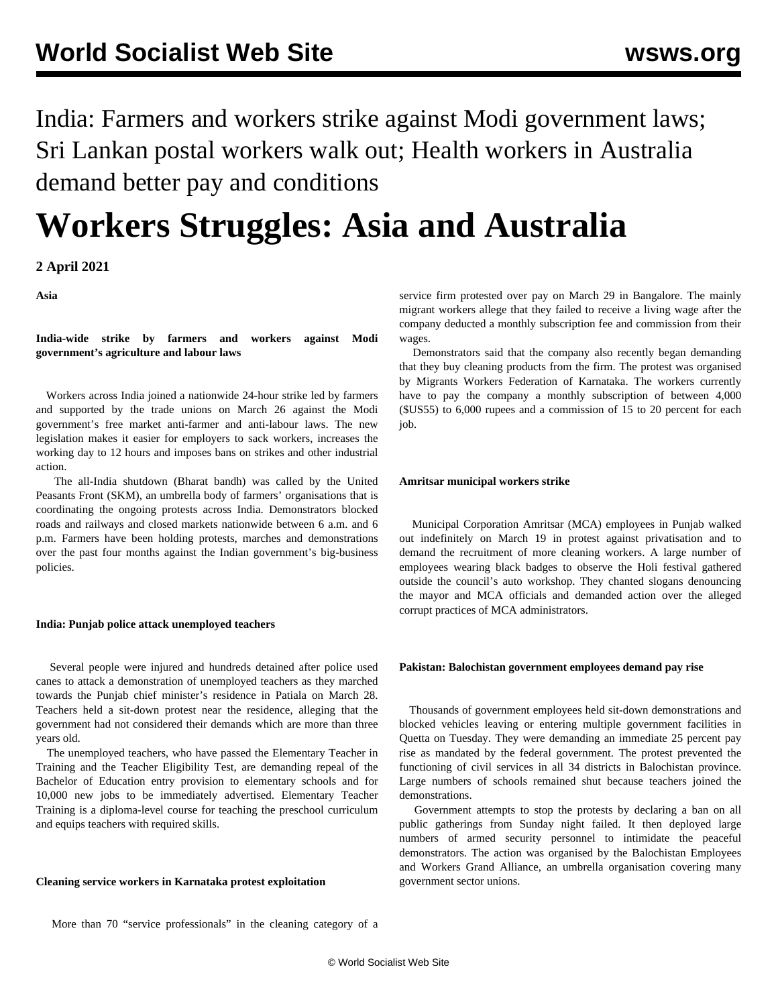India: Farmers and workers strike against Modi government laws; Sri Lankan postal workers walk out; Health workers in Australia demand better pay and conditions

# **Workers Struggles: Asia and Australia**

**2 April 2021**

**Asia**

**India-wide strike by farmers and workers against Modi government's agriculture and labour laws**

 Workers across India joined a nationwide 24-hour strike led by farmers and supported by the trade unions on March 26 against the Modi government's free market anti-farmer and anti-labour laws. The new legislation makes it easier for employers to sack workers, increases the working day to 12 hours and imposes bans on strikes and other industrial action.

 The all-India shutdown (Bharat bandh) was called by the United Peasants Front (SKM), an umbrella body of farmers' organisations that is coordinating the ongoing protests across India. Demonstrators blocked roads and railways and closed markets nationwide between 6 a.m. and 6 p.m. Farmers have been holding protests, marches and demonstrations over the past four months against the Indian government's big-business policies.

## **India: Punjab police attack unemployed teachers**

 Several people were injured and hundreds detained after police used canes to attack a demonstration of unemployed teachers as they marched towards the Punjab chief minister's residence in Patiala on March 28. Teachers held a sit-down protest near the residence, alleging that the government had not considered their demands which are more than three years old.

 The unemployed teachers, who have passed the Elementary Teacher in Training and the Teacher Eligibility Test, are demanding repeal of the Bachelor of Education entry provision to elementary schools and for 10,000 new jobs to be immediately advertised. Elementary Teacher Training is a diploma-level course for teaching the preschool curriculum and equips teachers with required skills.

## **Cleaning service workers in Karnataka protest exploitation**

service firm protested over pay on March 29 in Bangalore. The mainly migrant workers allege that they failed to receive a living wage after the company deducted a monthly subscription fee and commission from their wages.

 Demonstrators said that the company also recently began demanding that they buy cleaning products from the firm. The protest was organised by Migrants Workers Federation of Karnataka. The workers currently have to pay the company a monthly subscription of between 4,000 (\$US55) to 6,000 rupees and a commission of 15 to 20 percent for each job.

## **Amritsar municipal workers strike**

 Municipal Corporation Amritsar (MCA) employees in Punjab walked out indefinitely on March 19 in protest against privatisation and to demand the recruitment of more cleaning workers. A large number of employees wearing black badges to observe the Holi festival gathered outside the council's auto workshop. They chanted slogans denouncing the mayor and MCA officials and demanded action over the alleged corrupt practices of MCA administrators.

## **Pakistan: Balochistan government employees demand pay rise**

 Thousands of government employees held sit-down demonstrations and blocked vehicles leaving or entering multiple government facilities in Quetta on Tuesday. They were demanding an immediate 25 percent pay rise as mandated by the federal government. The protest prevented the functioning of civil services in all 34 districts in Balochistan province. Large numbers of schools remained shut because teachers joined the demonstrations.

 Government attempts to stop the protests by declaring a ban on all public gatherings from Sunday night failed. It then deployed large numbers of armed security personnel to intimidate the peaceful demonstrators. The action was organised by the Balochistan Employees and Workers Grand Alliance, an umbrella organisation covering many government sector unions.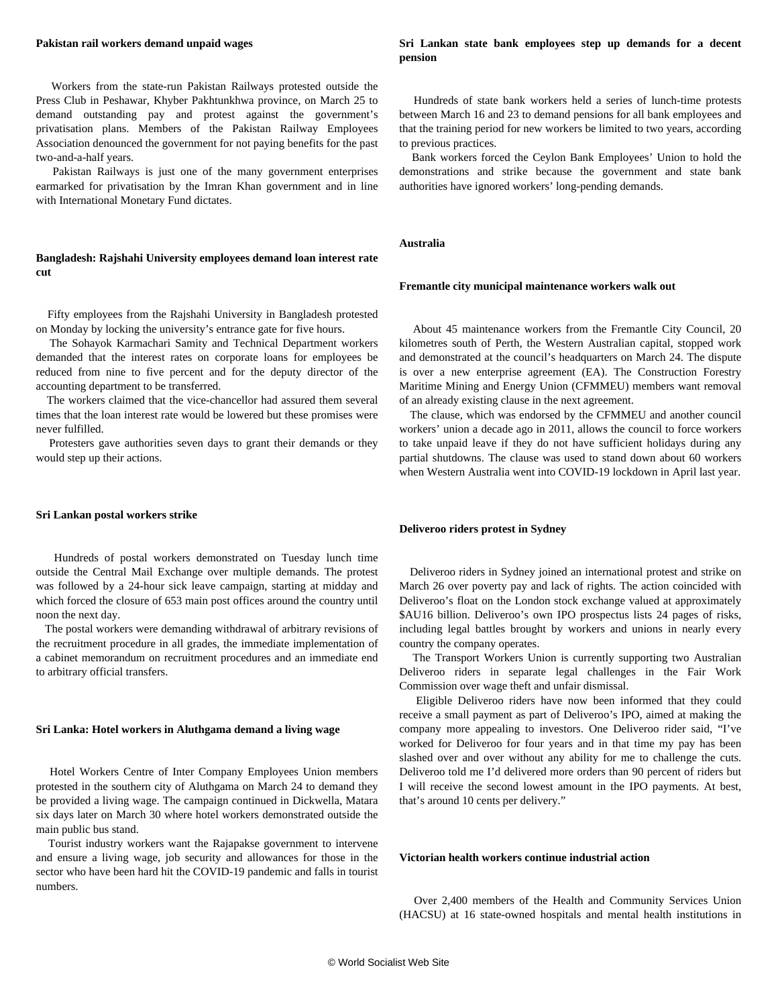#### **Pakistan rail workers demand unpaid wages**

 Workers from the state-run Pakistan Railways protested outside the Press Club in Peshawar, Khyber Pakhtunkhwa province, on March 25 to demand outstanding pay and protest against the government's privatisation plans. Members of the Pakistan Railway Employees Association denounced the government for not paying benefits for the past two-and-a-half years.

 Pakistan Railways is just one of the many government enterprises earmarked for privatisation by the Imran Khan government and in line with International Monetary Fund dictates.

## **Bangladesh: Rajshahi University employees demand loan interest rate cut**

 Fifty employees from the Rajshahi University in Bangladesh protested on Monday by locking the university's entrance gate for five hours.

 The Sohayok Karmachari Samity and Technical Department workers demanded that the interest rates on corporate loans for employees be reduced from nine to five percent and for the deputy director of the accounting department to be transferred.

 The workers claimed that the vice-chancellor had assured them several times that the loan interest rate would be lowered but these promises were never fulfilled.

 Protesters gave authorities seven days to grant their demands or they would step up their actions.

#### **Sri Lankan postal workers strike**

 Hundreds of postal workers demonstrated on Tuesday lunch time outside the Central Mail Exchange over multiple demands. The protest was followed by a 24-hour sick leave campaign, starting at midday and which forced the closure of 653 main post offices around the country until noon the next day.

 The postal workers were demanding withdrawal of arbitrary revisions of the recruitment procedure in all grades, the immediate implementation of a cabinet memorandum on recruitment procedures and an immediate end to arbitrary official transfers.

#### **Sri Lanka: Hotel workers in Aluthgama demand a living wage**

 Hotel Workers Centre of Inter Company Employees Union members protested in the southern city of Aluthgama on March 24 to demand they be provided a living wage. The campaign continued in Dickwella, Matara six days later on March 30 where hotel workers demonstrated outside the main public bus stand.

 Tourist industry workers want the Rajapakse government to intervene and ensure a living wage, job security and allowances for those in the sector who have been hard hit the COVID-19 pandemic and falls in tourist numbers.

## **Sri Lankan state bank employees step up demands for a decent pension**

 Hundreds of state bank workers held a series of lunch-time protests between March 16 and 23 to demand pensions for all bank employees and that the training period for new workers be limited to two years, according to previous practices.

 Bank workers forced the Ceylon Bank Employees' Union to hold the demonstrations and strike because the government and state bank authorities have ignored workers' long-pending demands.

#### **Australia**

#### **Fremantle city municipal maintenance workers walk out**

 About 45 maintenance workers from the Fremantle City Council, 20 kilometres south of Perth, the Western Australian capital, stopped work and demonstrated at the council's headquarters on March 24. The dispute is over a new enterprise agreement (EA). The Construction Forestry Maritime Mining and Energy Union (CFMMEU) members want removal of an already existing clause in the next agreement.

 The clause, which was endorsed by the CFMMEU and another council workers' union a decade ago in 2011, allows the council to force workers to take unpaid leave if they do not have sufficient holidays during any partial shutdowns. The clause was used to stand down about 60 workers when Western Australia went into COVID-19 lockdown in April last year.

## **Deliveroo riders protest in Sydney**

 Deliveroo riders in Sydney joined an international protest and strike on March 26 over poverty pay and lack of rights. The action coincided with Deliveroo's float on the London stock exchange valued at approximately \$AU16 billion. Deliveroo's own IPO prospectus lists 24 pages of risks, including legal battles brought by workers and unions in nearly every country the company operates.

 The Transport Workers Union is currently supporting two Australian Deliveroo riders in separate legal challenges in the Fair Work Commission over wage theft and unfair dismissal.

 Eligible Deliveroo riders have now been informed that they could receive a small payment as part of Deliveroo's IPO, aimed at making the company more appealing to investors. One Deliveroo rider said, "I've worked for Deliveroo for four years and in that time my pay has been slashed over and over without any ability for me to challenge the cuts. Deliveroo told me I'd delivered more orders than 90 percent of riders but I will receive the second lowest amount in the IPO payments. At best, that's around 10 cents per delivery."

#### **Victorian health workers continue industrial action**

 Over 2,400 members of the Health and Community Services Union (HACSU) at 16 state-owned hospitals and mental health institutions in